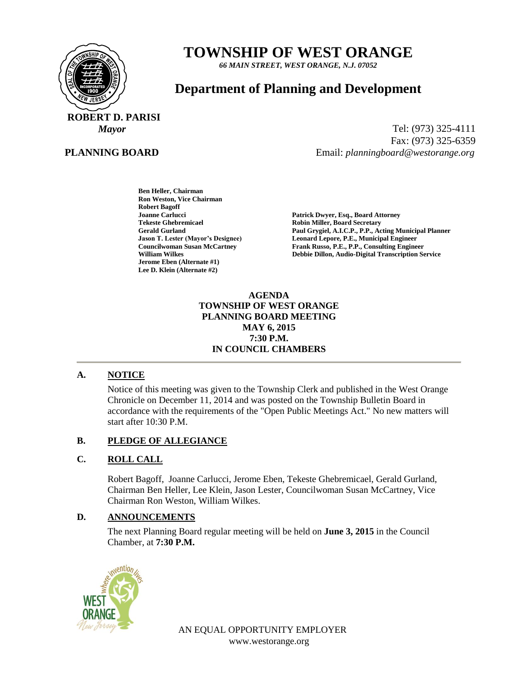

# **TOWNSHIP OF WEST ORANGE**

*66 MAIN STREET, WEST ORANGE, N.J. 07052*

# **Department of Planning and Development**

 **ROBERT D. PARISI**

## **PLANNING BOARD**

*Mayor* Tel: (973) 325-4111 Fax: (973) 325-6359 Email: *planningboard@westorange.org*

> **Ben Heller, Chairman Ron Weston, Vice Chairman Robert Bagoff Tekeste Ghebremicael and Secretary Cerald Gurland Control Cerald Gurland Control Cerald Gurland Control Cerald Gurland Control Cerald Gurland Control Cerald Gurland Control Cerald Cerald Gurland Cerald Cerald Cerald Ceral Jerome Eben (Alternate #1) Lee D. Klein (Alternate #2)**

**Joanne Carlucci Patrick Dwyer, Esq., Board Attorney** Paul Grygiel, A.I.C.P., P.P., Acting Municipal Planner **Jason T. Lester (Mayor's Designee) Leonard Lepore, P.E., Municipal Engineer Councilwoman Susan McCartney Frank Russo, P.E., P.P., Consulting Engineer William Wilkes Debbie Dillon, Audio-Digital Transcription Service**

#### **AGENDA TOWNSHIP OF WEST ORANGE PLANNING BOARD MEETING MAY 6, 2015 7:30 P.M. IN COUNCIL CHAMBERS**

#### **A. NOTICE**

Notice of this meeting was given to the Township Clerk and published in the West Orange Chronicle on December 11, 2014 and was posted on the Township Bulletin Board in accordance with the requirements of the "Open Public Meetings Act." No new matters will start after 10:30 P.M.

#### **B. PLEDGE OF ALLEGIANCE**

#### **C. ROLL CALL**

Robert Bagoff, Joanne Carlucci, Jerome Eben, Tekeste Ghebremicael, Gerald Gurland, Chairman Ben Heller, Lee Klein, Jason Lester, Councilwoman Susan McCartney, Vice Chairman Ron Weston, William Wilkes.

#### **D. ANNOUNCEMENTS**

The next Planning Board regular meeting will be held on **June 3, 2015** in the Council Chamber, at **7:30 P.M.**